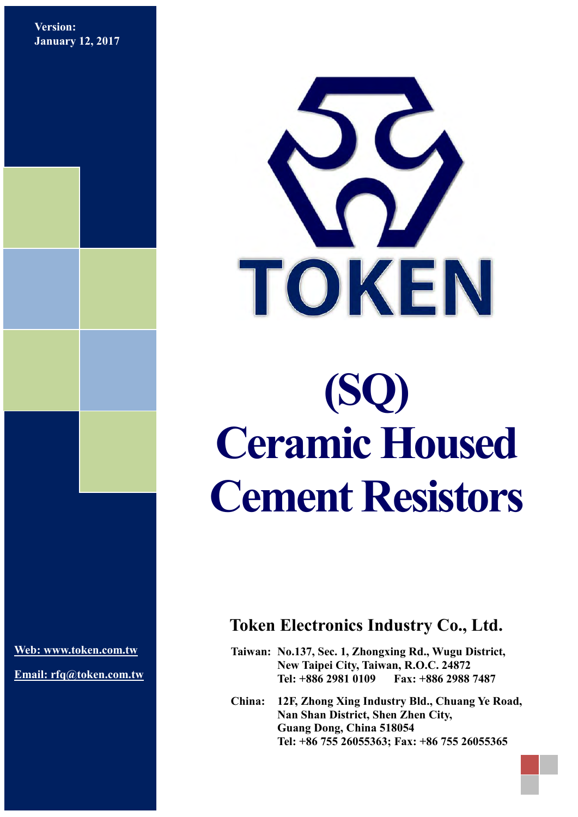**Version: January 12, 2017**



# **(SQ) Ceramic Housed Cement Resistors**

**[Web: www.token.com.tw](http://www.token.com.tw/)**

**Email: rfq@token.com.tw**

## **Token Electronics Industry Co., Ltd.**

**Taiwan: No.137, Sec. 1, Zhongxing Rd., Wugu District, New Taipei City, Taiwan, R.O.C. 24872 Tel: +886 2981 0109 Fax: +886 2988 7487**

**China: 12F, Zhong Xing Industry Bld., Chuang Ye Road, Nan Shan District, Shen Zhen City, Guang Dong, China 518054 Tel: +86 755 26055363; Fax: +86 755 26055365**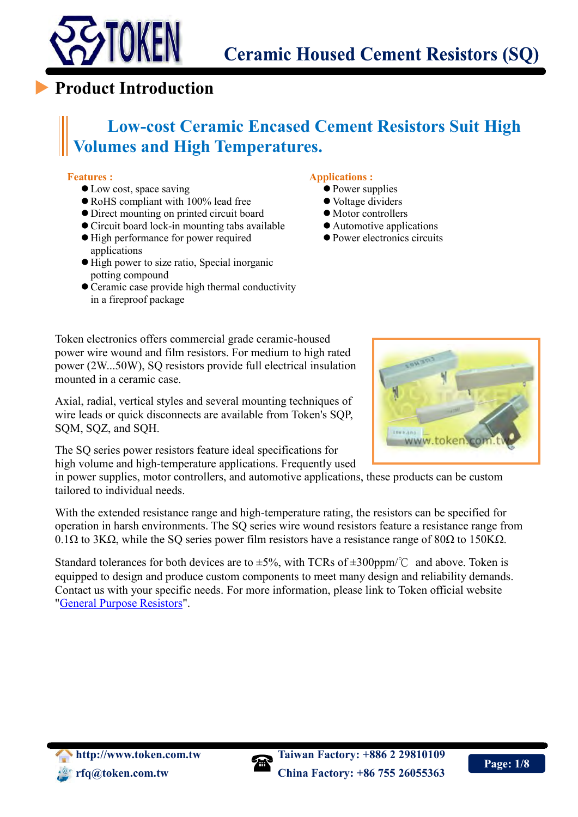

## **Product Introduction**

## **Low-cost Ceramic Encased Cement Resistors Suit High Volumes and High Temperatures.**

#### **Features :**

 $\overline{a}$ 

- Low cost, space saving
- RoHS compliant with 100% lead free
- Direct mounting on printed circuit board
- Circuit board lock-in mounting tabs available
- $\bullet$  High performance for power required applications
- $\bullet$  High power to size ratio, Special inorganic potting compound
- Ceramic case provide high thermal conductivity in a fireproof package

#### **Applications :**

- Power supplies
- Voltage dividers
- $\bullet$  Motor controllers
- Automotive applications
- Power electronics circuits

Token electronics offers commercial grade ceramic-housed power wire wound and film resistors. For medium to high rated power (2W...50W), SQ resistors provide full electrical insulation mounted in a ceramic case.

Axial, radial, vertical styles and several mounting techniques of wire leads or quick disconnects are available from Token's SQP, SQM, SQZ, and SQH.

The SQ series power resistors feature ideal specifications for high volume and high-temperature applications. Frequently used

in power supplies, motor controllers, and automotive applications, these products can be custom tailored to individual needs.

With the extended resistance range and high-temperature rating, the resistors can be specified for operation in harsh environments. The SQ series wire wound resistors feature a resistance range from 0.1Ω to 3KΩ, while the SQ series power film resistors have a resistance range of 80Ω to 150KΩ.

Standard tolerances for both devices are to  $\pm 5\%$ , with TCRs of  $\pm 300$ ppm/°C and above. Token is equipped to design and produce custom components to meet many design and reliability demands. Contact us with your specific needs. For more information, please link to Token official website ["General Purpose Resistors"](http://www.token.com.tw/resistor/index.html).



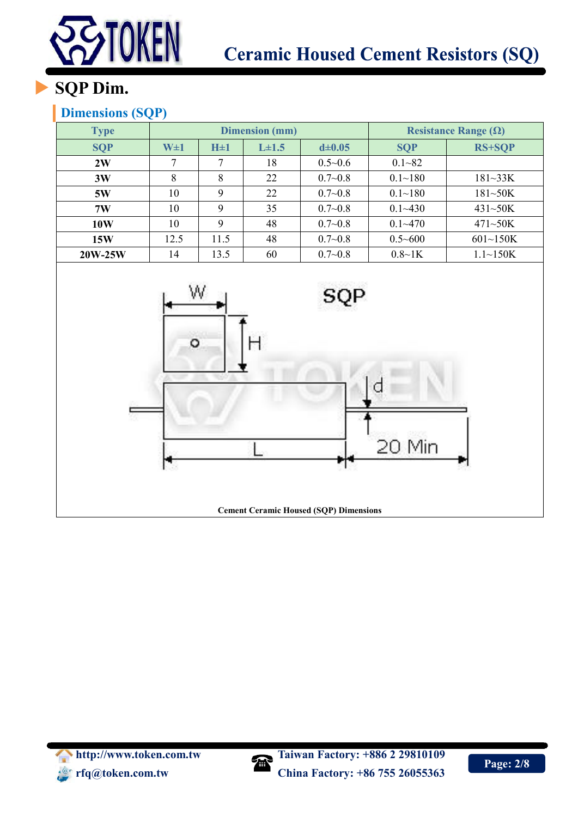

# **SQP Dim.**

## **Dimensions (SQP)**

| <b>Type</b> |         |          | <b>Dimension</b> (mm) |                | Resistance Range $(\Omega)$ |                 |
|-------------|---------|----------|-----------------------|----------------|-----------------------------|-----------------|
| <b>SQP</b>  | $W\pm1$ | $H\pm 1$ | $L\pm 1.5$            | $d \pm 0.05$   | <b>SQP</b>                  | <b>RS+SQP</b>   |
| 2W          | ⇁       | 7        | 18                    | $0.5 \sim 0.6$ | $0.1 - 82$                  |                 |
| 3W          | 8       | 8        | 22                    | $0.7 - 0.8$    | $0.1 - 180$                 | $181 - 33K$     |
| 5W          | 10      | 9        | 22                    | $0.7 - 0.8$    | $0.1 - 180$                 | $181 - 50K$     |
| 7W          | 10      | 9        | 35                    | $0.7 - 0.8$    | $0.1 - 430$                 | $431 - 50K$     |
| <b>10W</b>  | 10      | 9        | 48                    | $0.7 - 0.8$    | $0.1 - 470$                 | $471 - 50K$     |
| 15W         | 12.5    | 11.5     | 48                    | $0.7 - 0.8$    | $0.5 - 600$                 | $601 \sim 150K$ |
| 20W-25W     | 14      | 13.5     | 60                    | $0.7 - 0.8$    | $0.8 - 1K$                  | $1.1 \sim 150K$ |



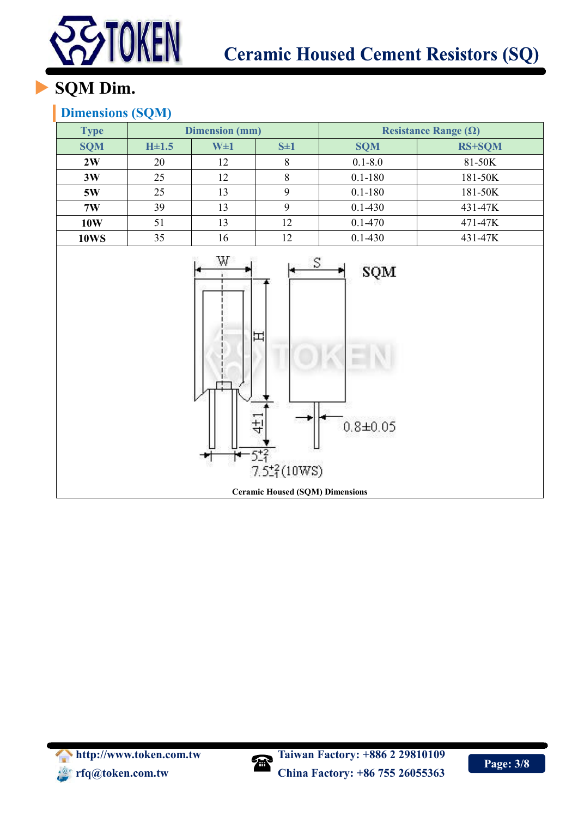

# **SQM Dim.**

### **Dimensions (SQM)**

| <b>Type</b> |           | <b>Dimension (mm)</b> |    | Resistance Range $(\Omega)$ |               |  |  |
|-------------|-----------|-----------------------|----|-----------------------------|---------------|--|--|
| <b>SQM</b>  | $H\pm1.5$ | $W\pm1$<br>$S\pm 1$   |    | <b>SQM</b>                  | <b>RS+SQM</b> |  |  |
| 2W          | 20        | 12                    | 8  | $0.1 - 8.0$                 | 81-50K        |  |  |
| 3W          | 25        | 12                    |    | $0.1 - 180$                 | 181-50K       |  |  |
| 5W          | 25        | 13                    |    | $0.1 - 180$                 | 181-50K       |  |  |
| 7W          | 39        | 13                    |    | $0.1 - 430$                 | 431-47K       |  |  |
| 10W         | 51        | 13                    | 12 | $0.1 - 470$                 | 471-47K       |  |  |
| <b>10WS</b> | 35        | 16                    | 12 | $0.1 - 430$                 | 431-47K       |  |  |



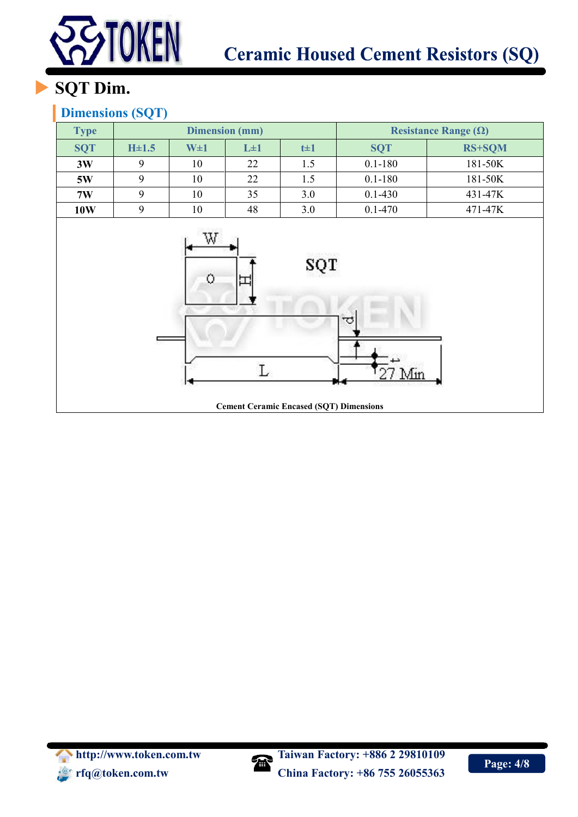

# **SQT Dim.**

### **Dimensions (SQT)**

| <b>Type</b> |           |                       | <b>Dimension</b> (mm) |                                                                     | Resistance Range $(\Omega)$ |               |
|-------------|-----------|-----------------------|-----------------------|---------------------------------------------------------------------|-----------------------------|---------------|
| <b>SQT</b>  | $H\pm1.5$ | $W\pm1$               | $L\pm 1$              | $t\pm 1$                                                            | <b>SQT</b>                  | <b>RS+SQM</b> |
| 3W          | 9         | 10                    | 22                    | 1.5                                                                 | $0.1 - 180$                 | 181-50K       |
| 5W          | 9         | 10                    | 22                    | 1.5                                                                 | $0.1 - 180$                 | 181-50K       |
| 7W          | 9         | 10                    | 35                    | 3.0                                                                 | $0.1 - 430$                 | 431-47K       |
| <b>10W</b>  | 9         | 10                    | 48                    | 3.0                                                                 | $0.1 - 470$                 | 471-47K       |
|             |           | W<br>$\bullet$<br>l 4 | 国<br>L                | 06/2012/02<br>SOT<br><b>Cement Ceramic Encased (SQT) Dimensions</b> | ᅲ<br>$727 \text{ Min}$      |               |

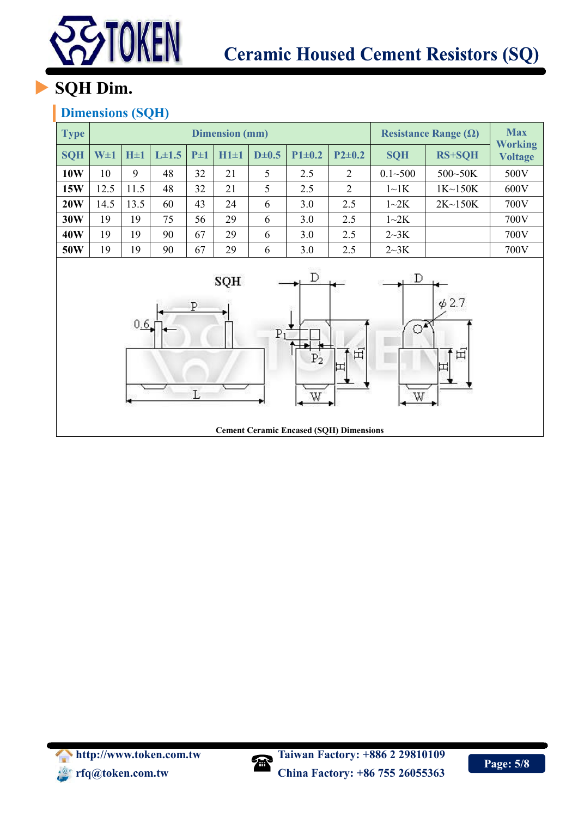

## **SQH Dim.**

### **Dimensions (SQH)**

| <b>Type</b>                                                                                                    | <b>Dimension</b> (mm) |           |           |          |            |           |              |                |             | Resistance Range $(\Omega)$ | <b>Max</b>                       |
|----------------------------------------------------------------------------------------------------------------|-----------------------|-----------|-----------|----------|------------|-----------|--------------|----------------|-------------|-----------------------------|----------------------------------|
| <b>SQH</b>                                                                                                     | $W\pm1$               | $H \pm 1$ | $L\pm1.5$ | $P\pm 1$ | $H1 \pm 1$ | $D\pm0.5$ | $P1 \pm 0.2$ | $P2\pm0.2$     | <b>SQH</b>  | <b>RS+SQH</b>               | <b>Working</b><br><b>Voltage</b> |
| <b>10W</b>                                                                                                     | 10                    | 9         | 48        | 32       | 21         | 5         | 2.5          | $\overline{2}$ | $0.1 - 500$ | 500~50K                     | 500V                             |
| 15W                                                                                                            | 12.5                  | 11.5      | 48        | 32       | 21         | 5         | 2.5          | 2              | $1 \sim 1K$ | 1K~150K                     | 600V                             |
| 20W                                                                                                            | 14.5                  | 13.5      | 60        | 43       | 24         | 6         | 3.0          | 2.5            | $1 \sim 2K$ | $2K \sim 150K$              | 700V                             |
| 30W                                                                                                            | 19                    | 19        | 75        | 56       | 29         | 6         | 3.0          | 2.5            | $1 - 2K$    |                             | 700V                             |
| 40W                                                                                                            | 19                    | 19        | 90        | 67       | 29         | 6         | 3.0          | 2.5            | 2~3K        |                             | 700V                             |
| 50W                                                                                                            | 19                    | 19        | 90        | 67       | 29         | 6         | 3.0          | 2.5            | 2~3K        |                             | 700V                             |
| D<br>D<br>SQH<br>$\phi$ 2.7<br>P<br>0.6.<br>ೌ<br>Pi<br>田<br>田<br>P <sub>2</sub><br>IП<br>$\mathbf L$<br>W<br>W |                       |           |           |          |            |           |              |                |             |                             |                                  |

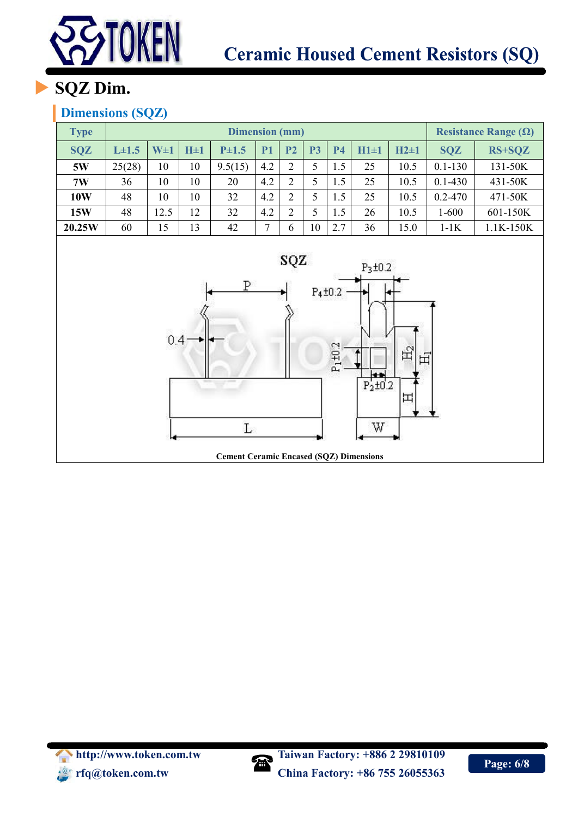

## **SQZ Dim.**

### **Dimensions (SQZ)**

| <b>Type</b>                                                                                                                                                                           | <b>Dimension</b> (mm) |         |           |           |           |                |           |           |            |            |             | Resistance Range $(\Omega)$ |
|---------------------------------------------------------------------------------------------------------------------------------------------------------------------------------------|-----------------------|---------|-----------|-----------|-----------|----------------|-----------|-----------|------------|------------|-------------|-----------------------------|
| <b>SQZ</b>                                                                                                                                                                            | $L\pm1.5$             | $W\pm1$ | $H \pm 1$ | $P\pm1.5$ | <b>P1</b> | P <sub>2</sub> | <b>P3</b> | <b>P4</b> | $H1 \pm 1$ | $H2 \pm 1$ | <b>SQZ</b>  | RS+SQZ                      |
| 5W                                                                                                                                                                                    | 25(28)                | 10      | 10        | 9.5(15)   | 4.2       | $\overline{2}$ | 5         | 1.5       | 25         | 10.5       | $0.1 - 130$ | 131-50K                     |
| 7W                                                                                                                                                                                    | 36                    | 10      | 10        | 20        | 4.2       | $\overline{2}$ | 5         | 1.5       | 25         | 10.5       | $0.1 - 430$ | 431-50K                     |
| <b>10W</b>                                                                                                                                                                            | 48                    | 10      | 10        | 32        | 4.2       | $\overline{2}$ | 5         | 1.5       | 25         | 10.5       | $0.2 - 470$ | 471-50K                     |
| 15W                                                                                                                                                                                   | 48                    | 12.5    | 12        | 32        | 4.2       | $\overline{2}$ | 5         | 1.5       | 26         | 10.5       | $1 - 600$   | 601-150K                    |
| 20.25W                                                                                                                                                                                | 60                    | 15      | 13        | 42        | $\tau$    | 6              | $10\,$    | 2.7       | 36         | 15.0       | $1-1K$      | 1.1K-150K                   |
| sąz<br>$P_3 \pm 0.2$<br>Ρ<br>$P_4 \pm 0.2$<br>0.4<br>$P_1 \pm 0.2$<br>$\mathbb{H}_2$<br>田<br>$\frac{1}{P_2 \pm 0.2}$<br>出<br>W<br>L<br><b>Cement Ceramic Encased (SQZ) Dimensions</b> |                       |         |           |           |           |                |           |           |            |            |             |                             |



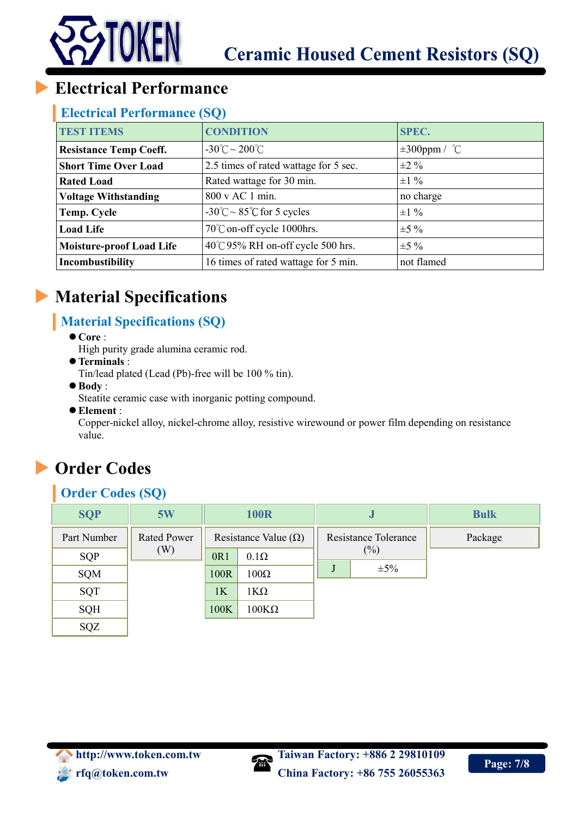

## **Electrical Performance**

#### **Electrical Performance (SQ)**

| <b>TEST ITEMS</b>               | <b>CONDITION</b>                               | <b>SPEC.</b>       |
|---------------------------------|------------------------------------------------|--------------------|
| <b>Resistance Temp Coeff.</b>   | $-30^{\circ}$ C ~ 200 $^{\circ}$ C             | $\pm 300$ ppm / °C |
| <b>Short Time Over Load</b>     | 2.5 times of rated wattage for 5 sec.          | $\pm 2\%$          |
| <b>Rated Load</b>               | Rated wattage for 30 min.                      | $\pm 1\%$          |
| <b>Voltage Withstanding</b>     | 800 v AC 1 min.                                | no charge          |
| Temp. Cycle                     | $-30^{\circ}$ C ~ 85 $^{\circ}$ C for 5 cycles | $\pm 1\%$          |
| <b>Load Life</b>                | 70°C on-off cycle 1000hrs.                     | $\pm 5\%$          |
| <b>Moisture-proof Load Life</b> | $40^{\circ}$ C 95% RH on-off cycle 500 hrs.    | $\pm$ 5 %          |
| Incombustibility                | 16 times of rated wattage for 5 min.           | not flamed         |

## **Material Specifications**

## **Material Specifications (SQ)**

- **Core** :
	- High purity grade alumina ceramic rod.
- **Terminals** :
	- Tin/lead plated (Lead (Pb)-free will be 100 % tin).
- **Body** :
	- Steatite ceramic case with inorganic potting compound.
- **Element** :

Copper-nickel alloy, nickel-chrome alloy, resistive wirewound or power film depending on resistance value.

## **Order Codes**

## **Order Codes (SQ)**

| <b>SQP</b>  | 5W                 |      | <b>100R</b>                 | IJ                          | <b>Bulk</b> |
|-------------|--------------------|------|-----------------------------|-----------------------------|-------------|
| Part Number | <b>Rated Power</b> |      | Resistance Value $(\Omega)$ | <b>Resistance Tolerance</b> | Package     |
| SQP         | (W)                | 0R1  | $0.1\Omega$                 | $(\%)$                      |             |
| SQM         |                    | 100R | $100\Omega$                 | $\pm 5\%$                   |             |
| SQT         |                    | 1K   | 1ΚΩ                         |                             |             |
| <b>SQH</b>  |                    | 100K | $100K\Omega$                |                             |             |
| SQZ         |                    |      |                             |                             |             |